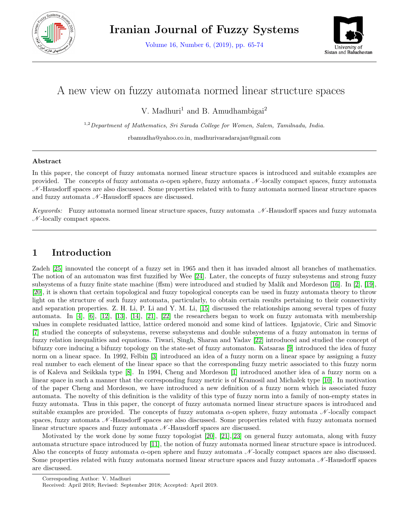

Volume 16, Number 6, (2019), pp. 65-74



# A new view on fuzzy automata normed linear structure spaces

V. Madhuri<sup>1</sup> and B. Amudhambigai<sup>2</sup>

<sup>1,2</sup>Department of Mathematics, Sri Sarada College for Women, Salem, Tamilnadu, India.

rbamudha@yahoo.co.in, madhurivaradarajan@gmail.com

#### Abstract

In this paper, the concept of fuzzy automata normed linear structure spaces is introduced and suitable examples are provided. The concepts of fuzzy automata  $\alpha$ -open sphere, fuzzy automata  $\mathcal N$ -locally compact spaces, fuzzy automata  $\mathcal N$ -Hausdorff spaces are also discussed. Some properties related with to fuzzy automata normed linear structure spaces and fuzzy automata  $\mathcal{N}$ -Hausdorff spaces are discussed.

Keywords: Fuzzy automata normed linear structure spaces, fuzzy automata  $\mathcal N$ -Hausdorff spaces and fuzzy automata  $\mathcal{N}$ -locally compact spaces.

# 1 Introduction

Zadeh [\[25\]](#page-9-0) innovated the concept of a fuzzy set in 1965 and then it has invaded almost all branches of mathematics. The notion of an automaton was first fuzzified by Wee [\[24\]](#page-9-1). Later, the concepts of fuzzy subsystems and strong fuzzy subsystems of a fuzzy finite state machine (ffsm) were introduced and studied by Malik and Mordeson [\[16\]](#page-9-2). In [\[2\]](#page-9-3), [\[19\]](#page-9-4), [\[20\]](#page-9-5), it is shown that certain topological and fuzzy topological concepts can be used in fuzzy automata theory to throw light on the structure of such fuzzy automata, particularly, to obtain certain results pertaining to their connectivity and separation properties. Z. H. Li, P. Li and Y. M. Li, [\[15\]](#page-9-6) discussed the relationships among several types of fuzzy automata. In [\[4\]](#page-9-7), [\[6\]](#page-9-8), [\[12\]](#page-9-9), [\[13\]](#page-9-10), [\[14\]](#page-9-11), [\[21\]](#page-9-12), [\[22\]](#page-9-13) the researchers began to work on fuzzy automata with membership values in complete residuated lattice, lattice ordered monoid and some kind of lattices. Ignjatovic, Ciric and Simovic [\[7\]](#page-9-14) studied the concepts of subsystems, reverse subsystems and double subsystems of a fuzzy automaton in terms of fuzzy relation inequalities and equations. Tiwari, Singh, Sharan and Yadav [\[22\]](#page-9-13) introduced and studied the concept of bifuzzy core inducing a bifuzzy topology on the state-set of fuzzy automaton. Katsaras [\[9\]](#page-9-15) introduced the idea of fuzzy norm on a linear space. In 1992, Felbin [\[3\]](#page-9-16) introduced an idea of a fuzzy norm on a linear space by assigning a fuzzy real number to each element of the linear space so that the corresponding fuzzy metric associated to this fuzzy norm is of Kaleva and Seikkala type [\[8\]](#page-9-17). In 1994, Cheng and Mordeson [\[1\]](#page-9-18) introduced another idea of a fuzzy norm on a linear space in such a manner that the corresponding fuzzy metric is of Kramosil and Michalek type [\[10\]](#page-9-19). In motivation of the paper Cheng and Mordeson, we have introduced a new definition of a fuzzy norm which is associated fuzzy automata. The novelty of this definition is the validity of this type of fuzzy norm into a family of non-empty states in fuzzy automata. Thus in this paper, the concept of fuzzy automata normed linear structure spaces is introduced and suitable examples are provided. The concepts of fuzzy automata  $\alpha$ -open sphere, fuzzy automata  $\mathcal N$ -locally compact spaces, fuzzy automata  $\mathcal N$ -Hausdorff spaces are also discussed. Some properties related with fuzzy automata normed linear structure spaces and fuzzy automata  $\mathcal{N}$ -Hausdorff spaces are discussed.

Motivated by the work done by some fuzzy topologist [\[20\]](#page-9-5), [\[21\]](#page-9-12),[\[23\]](#page-9-20) on general fuzzy automata, along with fuzzy automata structure space introduced by [\[11\]](#page-9-21), the notion of fuzzy automata normed linear structure space is introduced. Also the concepts of fuzzy automata  $\alpha$ -open sphere and fuzzy automata  $\mathcal N$ -locally compact spaces are also discussed. Some properties related with fuzzy automata normed linear structure spaces and fuzzy automata  $\mathcal{N}$ -Hausdorff spaces are discussed.

Corresponding Author: V. Madhuri

Received: April 2018; Revised: September 2018; Accepted: April 2019.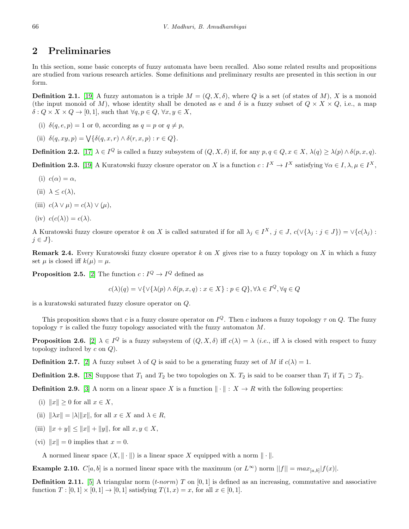# 2 Preliminaries

In this section, some basic concepts of fuzzy automata have been recalled. Also some related results and propositions are studied from various research articles. Some definitions and preliminary results are presented in this section in our form.

**Definition 2.1.** [\[19\]](#page-9-4) A fuzzy automaton is a triple  $M = (Q, X, \delta)$ , where Q is a set (of states of M), X is a monoid (the input monoid of M), whose identity shall be denoted as e and  $\delta$  is a fuzzy subset of  $Q \times X \times Q$ , i.e., a map  $\delta: Q \times X \times Q \to [0, 1]$ , such that  $\forall q, p \in Q, \forall x, y \in X$ ,

- (i)  $\delta(q, e, p) = 1$  or 0, according as  $q = p$  or  $q \neq p$ ,
- (ii)  $\delta(q, xy, p) = \bigvee \{ \delta(q, x, r) \wedge \delta(r, x, p) : r \in Q \}.$

**Definition 2.2.** [\[17\]](#page-9-22)  $\lambda \in I^Q$  is called a fuzzy subsystem of  $(Q, X, \delta)$  if, for any  $p, q \in Q, x \in X, \lambda(q) \geq \lambda(p) \wedge \delta(p, x, q)$ .

**Definition 2.3.** [\[19\]](#page-9-4) A Kuratowski fuzzy closure operator on X is a function  $c: I^X \to I^X$  satisfying  $\forall \alpha \in I, \lambda, \mu \in I^X$ ,

- (i)  $c(\alpha) = \alpha$ ,
- (ii)  $\lambda \leq c(\lambda)$ ,
- (iii)  $c(\lambda \vee \mu) = c(\lambda) \vee (\mu),$
- (iv)  $c(c(\lambda)) = c(\lambda)$ .

A Kuratowski fuzzy closure operator k on X is called saturated if for all  $\lambda_j \in I^X$ ,  $j \in J$ ,  $c(\vee {\lambda_j : j \in J}) = \vee {c(\lambda_j) : j \in J}$  $j \in J$ .

**Remark 2.4.** Every Kuratowski fuzzy closure operator  $k$  on  $X$  gives rise to a fuzzy topology on  $X$  in which a fuzzy set  $\mu$  is closed iff  $k(\mu) = \mu$ .

**Proposition 2.5.** [\[2\]](#page-9-3) The function  $c: I^Q \to I^Q$  defined as

$$
c(\lambda)(q) = \vee \{ \vee (\lambda(p) \wedge \delta(p, x, q) : x \in X \} : p \in Q \}, \forall \lambda \in I^Q, \forall q \in Q
$$

is a kuratowski saturated fuzzy closure operator on Q.

This proposition shows that c is a fuzzy closure operator on  $I^Q$ . Then c induces a fuzzy topology  $\tau$  on Q. The fuzzy topology  $\tau$  is called the fuzzy topology associated with the fuzzy automaton M.

**Proposition 2.6.** [\[2\]](#page-9-3)  $\lambda \in I^Q$  is a fuzzy subsystem of  $(Q, X, \delta)$  iff  $c(\lambda) = \lambda$  (*i.e.*, iff  $\lambda$  is closed with respect to fuzzy topology induced by  $c$  on  $Q$ ).

**Definition 2.7.** [\[2\]](#page-9-3) A fuzzy subset  $\lambda$  of Q is said to be a generating fuzzy set of M if  $c(\lambda) = 1$ .

**Definition 2.8.** [\[18\]](#page-9-23) Suppose that  $T_1$  and  $T_2$  be two topologies on X.  $T_2$  is said to be coarser than  $T_1$  if  $T_1 \supset T_2$ .

**Definition 2.9.** [\[3\]](#page-9-16) A norm on a linear space X is a function  $\|\cdot\|$  :  $X \to R$  with the following properties:

- (i)  $||x|| \geq 0$  for all  $x \in X$ ,
- (ii)  $\|\lambda x\| = |\lambda| \|x\|$ , for all  $x \in X$  and  $\lambda \in R$ ,
- (iii)  $||x + y|| \le ||x|| + ||y||$ , for all  $x, y \in X$ ,
- (vi)  $||x|| = 0$  implies that  $x = 0$ .

A normed linear space  $(X, \| \cdot \|)$  is a linear space X equipped with a norm  $\| \cdot \|$ .

**Example 2.10.**  $C[a, b]$  is a normed linear space with the maximum (or  $L^{\infty}$ ) norm  $||f|| = max_{[a, b]} |f(x)|$ .

**Definition 2.11.** [\[5\]](#page-9-24) A triangular norm  $(t\text{-}norm)$  T on [0, 1] is defined as an increasing, commutative and associative function  $T : [0, 1] \times [0, 1] \to [0, 1]$  satisfying  $T(1, x) = x$ , for all  $x \in [0, 1]$ .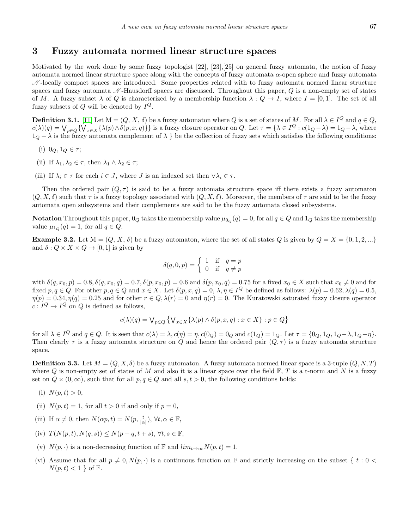### 3 Fuzzy automata normed linear structure spaces

Motivated by the work done by some fuzzy topologist [22], [23],[25] on general fuzzy automata, the notion of fuzzy automata normed linear structure space along with the concepts of fuzzy automata  $\alpha$ -open sphere and fuzzy automata  $\mathcal{N}$ -locally compact spaces are introduced. Some properties related with to fuzzy automata normed linear structure spaces and fuzzy automata  $\mathcal N$ -Hausdorff spaces are discussed. Throughout this paper,  $Q$  is a non-empty set of states of M. A fuzzy subset  $\lambda$  of Q is characterized by a membership function  $\lambda: Q \to I$ , where  $I = [0, 1]$ . The set of all fuzzy subsets of  $Q$  will be denoted by  $I^Q$ .

**Definition 3.1.** [\[11\]](#page-9-21) Let  $M = (Q, X, \delta)$  be a fuzzy automaton where Q is a set of states of M. For all  $\lambda \in I^Q$  and  $q \in Q$ ,  $c(\lambda)(q) = \bigvee_{p \in Q} \{ \bigvee_{x \in X} \{ \lambda(p) \wedge \delta(p, x, q) \} \}$  is a fuzzy closure operator on Q. Let  $\tau = \{ \lambda \in I^Q : c(1_Q - \lambda) = 1_Q - \lambda$ , where  $1<sub>Q</sub> - \lambda$  is the fuzzy automata complement of  $\lambda$  } be the collection of fuzzy sets which satisfies the following conditions:

- (i)  $0_Q, 1_Q \in \tau;$
- (ii) If  $\lambda_1, \lambda_2 \in \tau$ , then  $\lambda_1 \wedge \lambda_2 \in \tau$ ;
- (iii) If  $\lambda_i \in \tau$  for each  $i \in J$ , where J is an indexed set then  $\forall \lambda_i \in \tau$ .

Then the ordered pair  $(Q, \tau)$  is said to be a fuzzy automata structure space iff there exists a fuzzy automaton  $(Q, X, \delta)$  such that  $\tau$  is a fuzzy topology associated with  $(Q, X, \delta)$ . Moreover, the members of  $\tau$  are said to be the fuzzy automata open subsystems and their complements are said to be the fuzzy automata closed subsystems.

Notation Throughout this paper,  $0_Q$  takes the membership value  $\mu_{0_Q}(q) = 0$ , for all  $q \in Q$  and  $1_Q$  takes the membership value  $\mu_{1_Q}(q) = 1$ , for all  $q \in Q$ .

**Example 3.2.** Let  $M = (Q, X, \delta)$  be a fuzzy automaton, where the set of all states Q is given by  $Q = X = \{0, 1, 2, ...\}$ and  $\delta: Q \times X \times Q \rightarrow [0, 1]$  is given by

$$
\delta(q, 0, p) = \begin{cases} 1 & \text{if } q = p \\ 0 & \text{if } q \neq p \end{cases}
$$

with  $\delta(q, x_0, p) = 0.8, \delta(q, x_0, q) = 0.7, \delta(p, x_0, p) = 0.6$  and  $\delta(p, x_0, q) = 0.75$  for a fixed  $x_0 \in X$  such that  $x_0 \neq 0$  and for fixed  $p, q \in Q$ . For other  $p, q \in Q$  and  $x \in X$ . Let  $\delta(p, x, q) = 0, \lambda, \eta \in I^Q$  be defined as follows:  $\lambda(p) = 0.62, \lambda(q) = 0.5$ ,  $\eta(p) = 0.34, \eta(q) = 0.25$  and for other  $r \in Q$ ,  $\lambda(r) = 0$  and  $\eta(r) = 0$ . The Kuratowski saturated fuzzy closure operator  $c: I^Q \to I^Q$  on Q is defined as follows,

$$
c(\lambda)(q) = \bigvee_{p \in Q} \left\{ \bigvee_{x \in X} \{ \lambda(p) \wedge \delta(p, x, q) : x \in X \} : p \in Q \right\}
$$

for all  $\lambda \in I^Q$  and  $q \in Q$ . It is seen that  $c(\lambda) = \lambda$ ,  $c(\eta) = \eta$ ,  $c(0_Q) = 0_Q$  and  $c(1_Q) = 1_Q$ . Let  $\tau = \{0_Q, 1_Q, 1_Q - \lambda, 1_Q - \eta\}$ . Then clearly  $\tau$  is a fuzzy automata structure on Q and hence the ordered pair  $(Q, \tau)$  is a fuzzy automata structure space.

<span id="page-2-0"></span>**Definition 3.3.** Let  $M = (Q, X, \delta)$  be a fuzzy automaton. A fuzzy automata normed linear space is a 3-tuple  $(Q, N, T)$ where Q is non-empty set of states of M and also it is a linear space over the field  $\mathbb{F}, T$  is a t-norm and N is a fuzzy set on  $Q \times (0, \infty)$ , such that for all  $p, q \in Q$  and all  $s, t > 0$ , the following conditions holds:

- (i)  $N(p, t) > 0$ ,
- (ii)  $N(p, t) = 1$ , for all  $t > 0$  if and only if  $p = 0$ ,
- (iii) If  $\alpha \neq 0$ , then  $N(\alpha p, t) = N(p, \frac{t}{|\alpha|})$ ,  $\forall t, \alpha \in \mathbb{F}$ ,
- (iv)  $T(N(p,t), N(q,s)) \leq N(p+q, t+s), \forall t, s \in \mathbb{F}$ ,
- (v)  $N(p, \cdot)$  is a non-decreasing function of F and  $lim_{t\to\infty}N(p, t) = 1$ .
- (vi) Assume that for all  $p \neq 0, N(p, \cdot)$  is a continuous function on F and strictly increasing on the subset { t : 0 <  $N(p, t) < 1$  of F.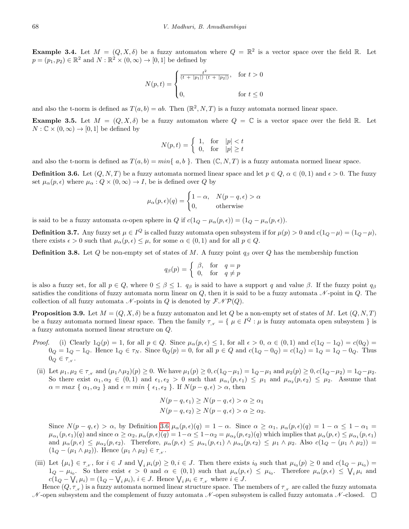**Example 3.4.** Let  $M = (Q, X, \delta)$  be a fuzzy automaton where  $Q = \mathbb{R}^2$  is a vector space over the field R. Let  $p = (p_1, p_2) \in \mathbb{R}^2$  and  $N : \mathbb{R}^2 \times (0, \infty) \to [0, 1]$  be defined by

$$
N(p,t) = \begin{cases} \frac{t^2}{(t+|p_1|) (t+|p_2|)}, & \text{for } t > 0\\ 0, & \text{for } t \le 0 \end{cases}
$$

and also the t-norm is defined as  $T(a, b) = ab$ . Then  $(\mathbb{R}^2, N, T)$  is a fuzzy automata normed linear space.

**Example 3.5.** Let  $M = (Q, X, \delta)$  be a fuzzy automaton where  $Q = \mathbb{C}$  is a vector space over the field  $\mathbb{R}$ . Let  $N:\mathbb{C}\times(0,\infty)\to[0,1]$  be defined by

$$
N(p,t) = \begin{cases} 1, & \text{for} \quad |p| < t \\ 0, & \text{for} \quad |p| \ge t \end{cases}
$$

and also the t-norm is defined as  $T(a, b) = min\{a, b\}$ . Then  $(\mathbb{C}, N, T)$  is a fuzzy automata normed linear space.

<span id="page-3-0"></span>**Definition 3.6.** Let  $(Q, N, T)$  be a fuzzy automata normed linear space and let  $p \in Q$ ,  $\alpha \in (0, 1)$  and  $\epsilon > 0$ . The fuzzy set  $\mu_{\alpha}(p, \epsilon)$  where  $\mu_{\alpha}: Q \times (0, \infty) \to I$ , be is defined over Q by

$$
\mu_{\alpha}(p,\epsilon)(q) = \begin{cases} 1 - \alpha, & N(p - q, \epsilon) > \alpha \\ 0, & \text{otherwise} \end{cases}
$$

is said to be a fuzzy automata  $\alpha$ -open sphere in  $Q$  if  $c(1_Q - \mu_\alpha(p, \epsilon)) = (1_Q - \mu_\alpha(p, \epsilon)).$ 

**Definition 3.7.** Any fuzzy set  $\mu \in I^Q$  is called fuzzy automata open subsystem if for  $\mu(p) > 0$  and  $c(1_Q - \mu) = (1_Q - \mu)$ , there exists  $\epsilon > 0$  such that  $\mu_{\alpha}(p, \epsilon) \leq \mu$ , for some  $\alpha \in (0, 1)$  and for all  $p \in Q$ .

**Definition 3.8.** Let Q be non-empty set of states of M. A fuzzy point  $q_\beta$  over Q has the membership function

$$
q_\beta(p) = \left\{ \begin{array}{ll} \beta, & \text{for} \quad q = p \\ 0, & \text{for} \quad q \neq p \end{array} \right.
$$

is also a fuzzy set, for all  $p \in Q$ , where  $0 \leq \beta \leq 1$ .  $q_{\beta}$  is said to have a support q and value  $\beta$ . If the fuzzy point  $q_{\beta}$ satisfies the conditions of fuzzy automata norm linear on  $Q$ , then it is said to be a fuzzy automata  $\mathcal N$ -point in  $Q$ . The collection of all fuzzy automata  $\mathcal N$ -points in Q is denoted by  $\mathcal F \mathcal N \mathcal P(Q)$ .

**Proposition 3.9.** Let  $M = (Q, X, \delta)$  be a fuzzy automaton and let Q be a non-empty set of states of M. Let  $(Q, N, T)$ be a fuzzy automata normed linear space. Then the family  $\tau_{N} = \{ \mu \in I^Q : \mu \text{ is fuzzy automata open subsystem } \}$  is a fuzzy automata normed linear structure on Q.

- *Proof.* (i) Clearly  $1_Q(p) = 1$ , for all  $p \in Q$ . Since  $\mu_\alpha(p, \epsilon) \leq 1$ , for all  $\epsilon > 0$ ,  $\alpha \in (0, 1)$  and  $c(1_Q 1_Q) = c(0_Q) =$  $0_Q = 1_Q - 1_Q$ . Hence  $1_Q \in \tau_N$ . Since  $0_Q(p) = 0$ , for all  $p \in Q$  and  $c(1_Q - 0_Q) = c(1_Q) = 1_Q = 1_Q - 0_Q$ . Thus  $0_Q \in \tau_{\mathcal{N}}$ .
- (ii) Let  $\mu_1, \mu_2 \in \tau_A$  and  $(\mu_1 \wedge \mu_2)(p) \ge 0$ . We have  $\mu_1(p) \ge 0$ ,  $c(1_Q \mu_1) = 1_Q \mu_1$  and  $\mu_2(p) \ge 0$ ,  $c(1_Q \mu_2) = 1_Q \mu_2$ . So there exist  $\alpha_1, \alpha_2 \in (0,1)$  and  $\epsilon_1, \epsilon_2 > 0$  such that  $\mu_{\alpha_1}(p, \epsilon_1) \leq \mu_1$  and  $\mu_{\alpha_2}(p, \epsilon_2) \leq \mu_2$ . Assume that  $\alpha = \max \{ \alpha_1, \alpha_2 \}$  and  $\epsilon = \min \{ \epsilon_1, \epsilon_2 \}$ . If  $N(p - q, \epsilon) > \alpha$ , then

$$
N(p-q, \epsilon_1) \ge N(p-q, \epsilon) > \alpha \ge \alpha_1
$$
  

$$
N(p-q, \epsilon_2) \ge N(p-q, \epsilon) > \alpha \ge \alpha_2.
$$

Since  $N(p-q,\epsilon) > \alpha$ , by Definition [3.6](#page-3-0)  $\mu_\alpha(p,\epsilon)(q) = 1 - \alpha$ . Since  $\alpha \geq \alpha_1$ ,  $\mu_\alpha(p,\epsilon)(q) = 1 - \alpha \leq 1 - \alpha_1 =$  $\mu_{\alpha_1}(p,\epsilon_1)(q)$  and since  $\alpha \ge \alpha_2$ ,  $\mu_{\alpha}(p,\epsilon)(q) = 1-\alpha \le 1-\alpha_2 = \mu_{\alpha_2}(p,\epsilon_2)(q)$  which implies that  $\mu_{\alpha}(p,\epsilon) \le \mu_{\alpha_1}(p,\epsilon_1)$ and  $\mu_{\alpha}(p,\epsilon) \leq \mu_{\alpha_2}(p,\epsilon_2)$ . Therefore,  $\mu_{\alpha}(p,\epsilon) \leq \mu_{\alpha_1}(p,\epsilon_1) \wedge \mu_{\alpha_2}(p,\epsilon_2) \leq \mu_1 \wedge \mu_2$ . Also  $c(1_Q - (\mu_1 \wedge \mu_2)) =$  $(1_Q - (\mu_1 \wedge \mu_2))$ . Hence  $(\mu_1 \wedge \mu_2) \in \tau_{\mathcal{N}}$ .

(iii) Let  $\{\mu_i\} \in \tau_{\mathcal{N}}$ , for  $i \in J$  and  $\bigvee_i \mu_i(p) \geq 0, i \in J$ . Then there exists  $i_0$  such that  $\mu_{i_0}(p) \geq 0$  and  $c(1_Q - \mu_{i_0}) =$  $1_Q - \mu_{i_0}$ . So there exist  $\epsilon > 0$  and  $\alpha \in (0,1)$  such that  $\mu_\alpha(p,\epsilon) \leq \mu_{i_0}$ . Therefore  $\mu_\alpha(p,\epsilon) \leq \bigvee_i \mu_i$  and  $c(1_Q - \bigvee_i \mu_i) = (1_Q - \bigvee_i \mu_i), i \in J$ . Hence  $\bigvee_i \mu_i \in \tau_{\mathcal{N}}$  where  $i \in J$ .

Hence  $(Q, \tau)$  is a fuzzy automata normed linear structure space. The members of  $\tau$  are called the fuzzy automata  $\mathcal N$ -open subsystem and the complement of fuzzy automata  $\mathcal N$ -open subsystem is called fuzzy automata  $\mathcal N$ -closed.  $\Box$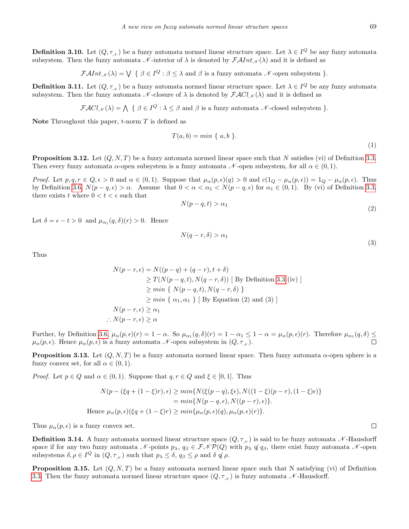**Definition 3.10.** Let  $(Q, \tau_{N})$  be a fuzzy automata normed linear structure space. Let  $\lambda \in I^Q$  be any fuzzy automata subsystem. Then the fuzzy automata N-interior of  $\lambda$  is denoted by  $\mathcal{F}Alnt_{\mathcal{N}}(\lambda)$  and it is defined as

 $\mathcal{F} \mathcal{A} \text{Int}_{\mathcal{N}}(\lambda) = \bigvee \{ \beta \in I^Q : \beta \leq \lambda \text{ and } \beta \text{ is a fuzzy automata } \mathcal{N} \text{-open subsystem } \}.$ 

**Definition 3.11.** Let  $(Q, \tau_{N})$  be a fuzzy automata normed linear structure space. Let  $\lambda \in I^Q$  be any fuzzy automata subsystem. Then the fuzzy automata  $\mathcal N$ -closure of  $\lambda$  is denoted by  $\mathcal{FACl}_{\mathcal N}(\lambda)$  and it is defined as

$$
\mathcal{F} \mathcal{A} Cl_{\mathcal{N}}(\lambda) = \bigwedge \{ \beta \in I^Q : \lambda \leq \beta \text{ and } \beta \text{ is a fuzzy automata } \mathcal{N}\text{-closed subsystem } \}.
$$

Note Throughout this paper, t-norm  $T$  is defined as

$$
T(a,b) = min \{ a,b \}.
$$
\n
$$
(1)
$$

**Proposition 3.12.** Let  $(Q, N, T)$  be a fuzzy automata normed linear space such that N satisfies (vi) of Definition [3.3.](#page-2-0) Then every fuzzy automata  $\alpha$ -open subsystem is a fuzzy automata N-open subsystem, for all  $\alpha \in (0,1)$ .

Proof. Let  $p, q, r \in Q, \epsilon > 0$  and  $\alpha \in (0, 1)$ . Suppose that  $\mu_{\alpha}(p, \epsilon)(q) > 0$  and  $c(1_Q - \mu_{\alpha}(p, \epsilon)) = 1_Q - \mu_{\alpha}(p, \epsilon)$ . Thus by Definition [3.6,](#page-3-0)  $N(p-q,\epsilon) > \alpha$ . Assume that  $0 < \alpha < \alpha_1 < N(p-q,\epsilon)$  for  $\alpha_1 \in (0,1)$ . By (vi) of Definition [3.3,](#page-2-0) there exists t where  $0 < t < \epsilon$  such that

$$
N(p-q,t) > \alpha_1 \tag{2}
$$

Let  $\delta = \epsilon - t > 0$  and  $\mu_{\alpha_1}(q, \delta)(r) > 0$ . Hence

$$
N(q-r,\delta) > \alpha_1 \tag{3}
$$

Thus

$$
N(p-r, \epsilon) = N((p-q) + (q-r), t + \delta)
$$
  
\n
$$
\geq T(N(p-q, t), N(q-r, \delta))
$$
 [By Definition 3.3 (iv)]  
\n
$$
\geq min \{ N(p-q, t), N(q-r, \delta) \}
$$
  
\n
$$
\geq min \{ \alpha_1, \alpha_1 \} [ \text{By Equation (2) and (3)} ]
$$
  
\n
$$
N(p-r, \epsilon) \geq \alpha_1
$$
  
\n
$$
\therefore N(p-r, \epsilon) \geq \alpha
$$

Further, by Definition [3.6,](#page-3-0)  $\mu_{\alpha}(p, \epsilon)(r) = 1 - \alpha$ . So  $\mu_{\alpha_1}(q, \delta)(r) = 1 - \alpha_1 \leq 1 - \alpha = \mu_{\alpha}(p, \epsilon)(r)$ . Therefore  $\mu_{\alpha_1}(q, \delta) \leq$  $\mu_{\alpha}(p,\epsilon)$ . Hence  $\mu_{\alpha}(p,\epsilon)$  is a fuzzy automata  $\mathcal N$ -open subsystem in  $(Q, \tau_{\mathcal N}).$ 

**Proposition 3.13.** Let  $(Q, N, T)$  be a fuzzy automata normed linear space. Then fuzzy automata  $\alpha$ -open sphere is a fuzzy convex set, for all  $\alpha \in (0,1)$ .

*Proof.* Let  $p \in Q$  and  $\alpha \in (0, 1)$ . Suppose that  $q, r \in Q$  and  $\xi \in [0, 1]$ . Thus

$$
N(p - (\xi q + (1 - \xi)r), \epsilon) \ge \min\{N(\xi(p - q), \xi \epsilon), N((1 - \xi)(p - r), (1 - \xi)\epsilon)\}
$$
  
=  $\min\{N(p - q, \epsilon), N((p - r), \epsilon)\}.$   
Hence  $\mu_{\alpha}(p, \epsilon)(\xi q + (1 - \xi)r) \ge \min\{\mu_{\alpha}(p, \epsilon)(q), \mu_{\alpha}(p, \epsilon)(r)\}.$ 

Thus  $\mu_{\alpha}(p, \epsilon)$  is a fuzzy convex set.

<span id="page-4-0"></span>**Definition 3.14.** A fuzzy automata normed linear structure space  $(Q, \tau_{N})$  is said to be fuzzy automata N-Hausdorff space if for any two fuzzy automata N-points  $p_\lambda$ ,  $q_\beta \in \mathcal{FNP}(Q)$  with  $p_\lambda \notin q_\beta$ , there exist fuzzy automata N-open subsystems  $\delta, \rho \in I^Q$  in  $(Q, \tau_{\mathcal{N}})$  such that  $p_{\lambda} \leq \delta, q_{\beta} \leq \rho$  and  $\delta \notin \rho$ .

**Proposition 3.15.** Let  $(Q, N, T)$  be a fuzzy automata normed linear space such that N satisfying (vi) of Definition [3.3.](#page-2-0) Then the fuzzy automata normed linear structure space  $(Q, \tau_{N})$  is fuzzy automata N-Hausdorff.

 $\Box$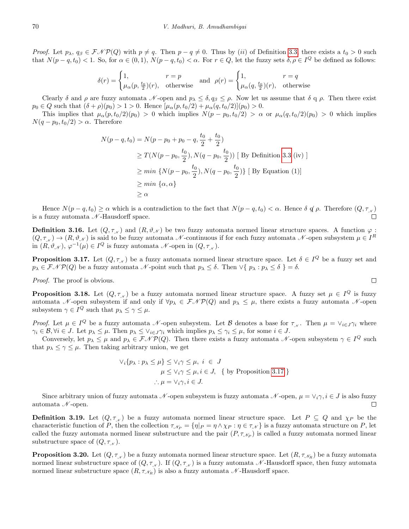*Proof.* Let  $p_{\lambda}, q_{\beta} \in \mathcal{FNP}(Q)$  with  $p \neq q$ . Then  $p - q \neq 0$ . Thus by (ii) of Definition [3.3,](#page-2-0) there exists a  $t_0 > 0$  such that  $N(p-q, t_0) < 1$ . So, for  $\alpha \in (0, 1)$ ,  $N(p-q, t_0) < \alpha$ . For  $r \in Q$ , let the fuzzy sets  $\delta, \rho \in I^Q$  be defined as follows:

$$
\delta(r) = \begin{cases} 1, & r = p \\ \mu_{\alpha}(p, \frac{t_0}{2})(r), & \text{otherwise} \end{cases} \text{ and } \rho(r) = \begin{cases} 1, & r = q \\ \mu_{\alpha}(q, \frac{t_0}{2})(r), & \text{otherwise} \end{cases}
$$

Clearly  $\delta$  and  $\rho$  are fuzzy automata N-open and  $p_{\lambda} \leq \delta, q_{\beta} \leq \rho$ . Now let us assume that  $\delta \neq \rho$ . Then there exist  $p_0 \in Q$  such that  $(\delta + \rho)(p_0) > 1 > 0$ . Hence  $[\mu_\alpha(p, t_0/2) + \mu_\alpha(q, t_0/2)](p_0) > 0$ .

This implies that  $\mu_{\alpha}(p, t_0/2)(p_0) > 0$  which implies  $N(p - p_0, t_0/2) > \alpha$  or  $\mu_{\alpha}(q, t_0/2)(p_0) > 0$  which implies  $N(q - p_0, t_0/2) > \alpha$ . Therefore

$$
N(p-q, t_0) = N(p - p_0 + p_0 - q, \frac{t_0}{2} + \frac{t_0}{2})
$$
  
\n
$$
\geq T(N(p - p_0, \frac{t_0}{2}), N(q - p_0, \frac{t_0}{2}))
$$
 [By Definition 3.3 (iv)]  
\n
$$
\geq min \{N(p - p_0, \frac{t_0}{2}), N(q - p_0, \frac{t_0}{2})\}
$$
 [By Equation (1)]  
\n
$$
\geq min \{\alpha, \alpha\}
$$
  
\n
$$
\geq \alpha
$$

Hence  $N(p-q, t_0) \ge \alpha$  which is a contradiction to the fact that  $N(p-q, t_0) < \alpha$ . Hence  $\delta \notin \rho$ . Therefore  $(Q, \tau_{\mathcal{N}})$ is a fuzzy automata  $\mathcal{N}$ -Hausdorff space.

**Definition 3.16.** Let  $(Q, \tau_{\mathcal{N}})$  and  $(R, \vartheta_{\mathcal{N}})$  be two fuzzy automata normed linear structure spaces. A function  $\varphi$ :  $(Q, \tau_{\mathcal{N}}) \to (R, \vartheta_{\mathcal{N}})$  is said to be fuzzy automata  $\mathcal{N}$ -continuous if for each fuzzy automata  $\mathcal{N}$ -open subsystem  $\mu \in I^R$ in  $(R, \vartheta_{\mathcal{N}}), \varphi^{-1}(\mu) \in I^Q$  is fuzzy automata  $\mathcal{N}$ -open in  $(Q, \tau_{\mathcal{N}})$ .

<span id="page-5-0"></span>**Proposition 3.17.** Let  $(Q, \tau_{\mathcal{N}})$  be a fuzzy automata normed linear structure space. Let  $\delta \in I^Q$  be a fuzzy set and  $p_{\lambda} \in \mathcal{F} \mathcal{N} \mathcal{P}(Q)$  be a fuzzy automata  $\mathcal{N}$ -point such that  $p_{\lambda} \leq \delta$ . Then  $\vee \{ p_{\lambda} : p_{\lambda} \leq \delta \} = \delta$ .

Proof. The proof is obvious.

**Proposition 3.18.** Let  $(Q, \tau_{\mathcal{N}})$  be a fuzzy automata normed linear structure space. A fuzzy set  $\mu \in I^Q$  is fuzzy automata N-open subsystem if and only if  $\forall p_{\lambda} \in \mathcal{FNP}(Q)$  and  $p_{\lambda} \leq \mu$ , there exists a fuzzy automata N-open subsystem  $\gamma \in I^Q$  such that  $p_\lambda \leq \gamma \leq \mu$ .

Proof. Let  $\mu \in I^Q$  be a fuzzy automata N-open subsystem. Let B denotes a base for  $\tau_{\mathcal{N}}$ . Then  $\mu = \vee_{i \in J} \gamma_i$  where  $\gamma_i \in \mathcal{B}, \forall i \in J$ . Let  $p_{\lambda} \leq \mu$ . Then  $p_{\lambda} \leq \vee_{i \in J} \gamma_i$  which implies  $p_{\lambda} \leq \gamma_i \leq \mu$ , for some  $i \in J$ .

Conversely, let  $p_{\lambda} \leq \mu$  and  $p_{\lambda} \in \mathcal{FNP}(Q)$ . Then there exists a fuzzy automata N-open subsystem  $\gamma \in I^Q$  such that  $p_{\lambda} \leq \gamma \leq \mu$ . Then taking arbitrary union, we get

$$
\forall_i \{p_\lambda : p_\lambda \le \mu\} \le \forall_i \gamma \le \mu, i \in J
$$
  

$$
\mu \le \forall_i \gamma \le \mu, i \in J, \{ \text{ by Proposition 3.17 } \}
$$
  

$$
\therefore \mu = \forall_i \gamma, i \in J.
$$

Since arbitrary union of fuzzy automata N-open subsystem is fuzzy automata N-open,  $\mu = \vee_i \gamma, i \in J$  is also fuzzy automata  $\mathcal N$ -open.  $\Box$ 

<span id="page-5-1"></span>**Definition 3.19.** Let  $(Q, \tau_{\scriptscriptstyle N})$  be a fuzzy automata normed linear structure space. Let  $P \subseteq Q$  and  $\chi_P$  be the characteristic function of P, then the collection  $\tau_{\mathcal{N}_{P}} = {\eta \mid_{P}} = \eta \wedge \chi_{P} : \eta \in \tau_{\mathcal{N}}$  is a fuzzy automata structure on P, let called the fuzzy automata normed linear substructure and the pair  $(P, \tau_{\mathcal{N}_P})$  is called a fuzzy automata normed linear substructure space of  $(Q, \tau_{\kappa})$ .

**Proposition 3.20.** Let  $(Q, \tau_{N})$  be a fuzzy automata normed linear structure space. Let  $(R, \tau_{N_R})$  be a fuzzy automata normed linear substructure space of  $(Q, \tau_{N})$ . If  $(Q, \tau_{N})$  is a fuzzy automata N-Hausdorff space, then fuzzy automata normed linear substructure space  $(R, \tau_{\mathcal{N}_R})$  is also a fuzzy automata  $\mathcal{N}$ -Hausdorff space.

$$
\qquad \qquad \Box
$$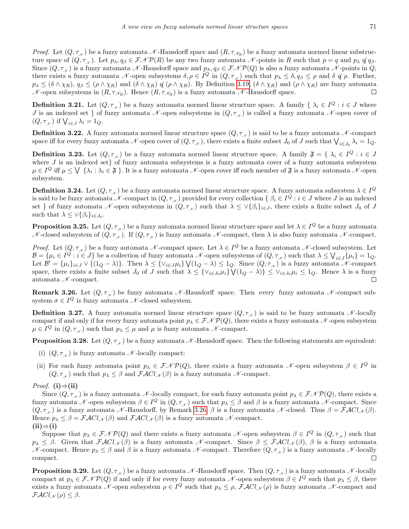*Proof.* Let  $(Q, \tau_{N})$  be a fuzzy automata N-Hausdorff space and  $(R, \tau_{N_R})$  be a fuzzy automata normed linear substructure space of  $(Q, \tau_{\chi})$ . Let  $p_{\lambda}, q_{\beta} \in \mathcal{FNP}(R)$  be any two fuzzy automata N-points in R such that  $p = q$  and  $p_{\lambda} q_{\beta}$ . Since  $(Q, \tau_{N})$  is a fuzzy automata N -Hausdorff space and  $p_{\lambda}, q_{\beta} \in \mathcal{FNP}(Q)$  is also a fuzzy automata N -points in Q, there exists a fuzzy automata  $\mathcal N$ -open subsystems  $\delta, \rho \in I^Q$  in  $(Q, \tau_{\mathcal N})$  such that  $p_\lambda \leq \delta, q_\beta \leq \rho$  and  $\delta \notin \rho$ . Further,  $p_{\lambda} \leq (\delta \wedge \chi_R), q_{\beta} \leq (\rho \wedge \chi_R)$  and  $(\delta \wedge \chi_R)$  of  $(\rho \wedge \chi_R)$ . By Definition [3.19,](#page-5-1)  $(\delta \wedge \chi_R)$  and  $(\rho \wedge \chi_R)$  are fuzzy automata  $\mathcal N$ -open subsystems in  $(R, \tau_{\mathcal N_R})$ . Hence  $(R, \tau_{\mathcal N_R})$  is a fuzzy automata  $\mathcal N$ -Hausdorff space.

**Definition 3.21.** Let  $(Q, \tau_{\mathcal{N}})$  be a fuzzy automata normed linear structure space. A family  $\{ \lambda_i \in I^Q : i \in J \text{ where } I \in I \}$ J is an indexed set  $\}$  of fuzzy automata N-open subsystems in  $(Q, \tau_{N})$  is called a fuzzy automata N-open cover of  $(Q, \tau_{\scriptscriptstyle \mathcal{N}})$  if  $\bigvee_{i \in J} \lambda_i = 1_Q$ .

**Definition 3.22.** A fuzzy automata normed linear structure space  $(Q, \tau_{N})$  is said to be a fuzzy automata N-compact space iff for every fuzzy automata  $\mathcal N$ -open cover of  $(Q, \tau_{\mathcal N})$ , there exists a finite subset  $J_0$  of  $J$  such that  $\bigvee_{i\in J_0}\lambda_i=1_Q$ .

**Definition 3.23.** Let  $(Q, \tau_{N})$  be a fuzzy automata normed linear structure space. A family  $\mathfrak{F} = \{ \lambda_i \in I^Q : i \in J \}$ where  $J$  is an indexed set} of fuzzy automata subsystems is a fuzzy automata cover of a fuzzy automata subsystem  $\mu \in I^Q$  iff  $\mu \leq \bigvee \{\lambda_i : \lambda_i \in \mathfrak{F}\}$ . It is a fuzzy automata  $\mathscr{N}$ -open cover iff each member of  $\mathfrak{F}$  is a fuzzy automata  $\mathscr{N}$ -open subsystem.

**Definition 3.24.** Let  $(Q, \tau_{\mathcal{N}})$  be a fuzzy automata normed linear structure space. A fuzzy automata subsystem  $\lambda \in I^Q$ is said to be fuzzy automata  $\mathscr N$ -compact in  $(Q, \tau_{\mathscr N})$  provided for every collection  $\{\beta_i \in I^Q : i \in J\}$  where  $J$  is an indexed set } of fuzzy automata N-open subsystems in  $(Q, \tau_{\kappa})$  such that  $\lambda \leq \vee \{\beta_i\}_{i \in J}$ , there exists a finite subset  $J_0$  of J such that  $\lambda \leq \vee \{\beta_i\}_{i \in J_0}$ .

<span id="page-6-2"></span>**Proposition 3.25.** Let  $(Q, \tau_{\scriptscriptstyle \mathcal{N}})$  be a fuzzy automata normed linear structure space and let  $\lambda \in I^Q$  be a fuzzy automata N-closed subsystem of  $(Q, \tau_{\mathcal{N}})$ . If  $(Q, \tau_{\mathcal{N}})$  is fuzzy automata N-compact, then  $\lambda$  is also fuzzy automata N-compact.

*Proof.* Let  $(Q, \tau_{N})$  be a fuzzy automata N-compact space. Let  $\lambda \in I^Q$  be a fuzzy automata N-closed subsystem. Let  $\mathcal{B} = {\mu_i \in I^Q : i \in J}$  be a collection of fuzzy automata  $\mathcal{N}$ -open subsystems of  $(Q, \tau_{\mathcal{N}})$  such that  $\lambda \leq \bigvee_{i \in J} {\mu_i} = 1_Q$ . Let  $\mathcal{B}' = {\mu_i}_{i \in J} \vee \{(1_Q - \lambda)\}\$ . Then  $\lambda \leq {\nu_i \in J\mu_i} \vee (1_Q - \lambda) \leq 1_Q$ . Since  $(Q, \tau_{N})$  is a fuzzy automata N-compact space, there exists a finite subset  $J_0$  of  $J$  such that  $\lambda \leq \{\vee_{i \in J_0}\mu_i\} \bigvee (1_Q - \lambda)\} \leq \vee_{i \in J_0}\mu_i \leq 1_Q$ . Hence  $\lambda$  is a fuzzy automata  $\mathcal N$ -compact.  $\Box$ 

<span id="page-6-0"></span>**Remark 3.26.** Let  $(Q, \tau_{\mathcal{N}})$  be fuzzy automata  $\mathcal{N}$ -Hausdorff space. Then every fuzzy automata  $\mathcal{N}$ -compact subsystem  $\sigma \in I^Q$  is fuzzy automata  $\mathcal N$ -closed subsystem.

<span id="page-6-1"></span>**Definition 3.27.** A fuzzy automata normed linear structure space  $(Q, \tau_{\mathcal{N}})$  is said to be fuzzy automata  $\mathcal{N}$ -locally compact if and only if for every fuzzy automata point  $p_\lambda \in \mathcal{FNP}(Q)$ , there exists a fuzzy automata N-open subsystem  $\mu \in I^Q$  in  $(Q, \tau_{\mathcal{N}})$  such that  $p_{\lambda} \leq \mu$  and  $\mu$  is fuzzy automata  $\mathcal{N}$ -compact.

<span id="page-6-3"></span>**Proposition 3.28.** Let  $(Q, \tau_{\mathcal{N}})$  be a fuzzy automata  $\mathcal{N}$ -Hausdorff space. Then the following statements are equivalent:

- (i)  $(Q, \tau_{\mathcal{N}})$  is fuzzy automata  $\mathcal{N}$ -locally compact;
- (ii) For each fuzzy automata point  $p_{\lambda} \in \mathcal{FNP}(Q)$ , there exists a fuzzy automata N-open subsystem  $\beta \in I^Q$  in  $(Q, \tau_{\mathcal{N}})$  such that  $p_{\lambda} \leq \beta$  and  $\mathcal{F}\mathcal{A}Cl_{\mathcal{N}}(\beta)$  is a fuzzy automata  $\mathcal{N}$ -compact.

*Proof.* (i)⇒(ii)

Since  $(Q, \tau_{\kappa})$  is a fuzzy automata N-locally compact, for each fuzzy automata point  $p_{\lambda} \in \mathcal{FMP}(Q)$ , there exists a fuzzy automata N-open subsystem  $\beta \in I^Q$  in  $(Q, \tau_{\mathcal{N}})$  such that  $p_{\lambda} \leq \beta$  and  $\beta$  is a fuzzy automata N-compact. Since  $(Q, \tau_{N})$  is a fuzzy automata N -Hausdorff, by Remark [3.26,](#page-6-0) β is a fuzzy automata N -closed. Thus  $\beta = \mathcal{F}ACl_{N}(\beta)$ . Hence  $p_{\lambda} \leq \beta = \mathcal{F} \mathcal{A} Cl_{\mathcal{N}}(\beta)$  and  $\mathcal{F} \mathcal{A} Cl_{\mathcal{N}}(\beta)$  is a fuzzy automata  $\mathcal{N}$ -compact.

 $(ii) \Rightarrow (i)$ 

Suppose that  $p_{\lambda} \in \mathcal{FNP}(Q)$  and there exists a fuzzy automata  $\mathcal{N}$ -open subsystem  $\beta \in I^Q$  in  $(Q, \tau_{\mathcal{N}})$  such that  $p_{\lambda} \leq \beta$ . Given that  $\mathcal{F}ACl_{\mathcal{N}}(\beta)$  is a fuzzy automata  $\mathcal{N}$ -compact. Since  $\beta \leq \mathcal{F}ACl_{\mathcal{N}}(\beta)$ ,  $\beta$  is a fuzzy automata N -compact. Hence  $p_\lambda \leq \beta$  and  $\beta$  is a fuzzy automata N -compact. Therefore  $(Q, \tau_{\mathcal{N}})$  is a fuzzy automata N -locally compact.  $\Box$ 

**Proposition 3.29.** Let  $(Q, \tau_{\kappa})$  be a fuzzy automata N -Hausdorff space. Then  $(Q, \tau_{\kappa})$  is a fuzzy automata N -locally compact at  $p_\lambda \in \mathcal{FNP}(Q)$  if and only if for every fuzzy automata N-open subsystem  $\beta \in I^Q$  such that  $p_\lambda \leq \beta$ , there exists a fuzzy automata N-open subsystem  $\rho \in I^Q$  such that  $p_\lambda \leq \rho$ ,  $\mathcal{FACl}_{\mathcal{N}}(\rho)$  is fuzzy automata N-compact and  $\mathcal{F}ACl_{\mathcal{N}}(\rho) \leq \beta.$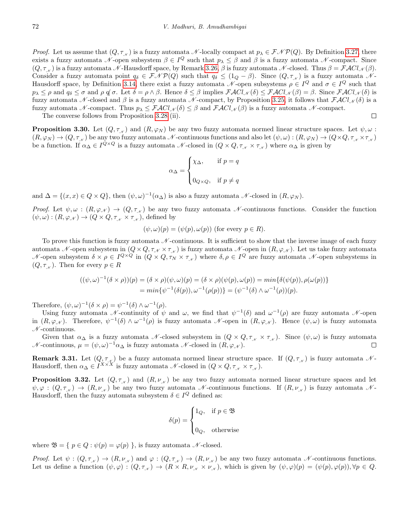*Proof.* Let us assume that  $(Q, \tau_{\mathcal{N}})$  is a fuzzy automata N-locally compact at  $p_{\lambda} \in \mathcal{FMP}(Q)$ . By Definition [3.27,](#page-6-1) there exists a fuzzy automata N-open subsystem  $\beta \in I^Q$  such that  $p_\lambda \leq \beta$  and  $\beta$  is a fuzzy automata N-compact. Since  $(Q, \tau_{\kappa})$  is a fuzzy automata N -Hausdorff space, by Remark [3.26,](#page-6-0) β is fuzzy automata N -closed. Thus  $\beta = \mathcal{F}ACl_{\mathcal{N}}(\beta)$ . Consider a fuzzy automata point  $q_\delta \in \mathcal{FNP}(Q)$  such that  $q_\delta \leq (1_Q - \beta)$ . Since  $(Q, \tau_{\mathcal{N}})$  is a fuzzy automata N-Hausdorff space, by Definition [3.14,](#page-4-0) there exist a fuzzy automata  $\mathscr N$ -open subsystems  $\rho \in I^Q$  and  $\sigma \in I^Q$  such that  $p_{\lambda} \leq \rho$  and  $q_{\delta} \leq \sigma$  and  $\rho \notin \sigma$ . Let  $\delta = \rho \wedge \beta$ . Hence  $\delta \leq \beta$  implies  $\mathcal{F}\mathcal{A}Cl_{\mathcal{N}}(\delta) \leq \mathcal{F}\mathcal{A}Cl_{\mathcal{N}}(\beta) = \beta$ . Since  $\mathcal{F}\mathcal{A}Cl_{\mathcal{N}}(\delta)$  is fuzzy automata N-closed and β is a fuzzy automata N-compact, by Proposition [3.25,](#page-6-2) it follows that  $\mathcal{F}\mathcal{A}Cl_{\mathcal{N}}(\delta)$  is a fuzzy automata N-compact. Thus  $p_{\lambda} \leq \mathcal{FACl}_{\mathcal{N}}(\delta) \leq \beta$  and  $\mathcal{FACl}_{\mathcal{N}}(\beta)$  is a fuzzy automata N-compact.  $\Box$ 

The converse follows from Proposition [3.28](#page-6-3) (ii).

**Proposition 3.30.** Let  $(Q, \tau_{N})$  and  $(R, \varphi_{N})$  be any two fuzzy automata normed linear structure spaces. Let  $\psi, \omega$ :  $(R, \varphi_N) \to (Q, \tau_N)$  be any two fuzzy automata N-continuous functions and also let  $(\psi, \omega) : (R, \varphi_N) \to (Q \times Q, \tau_N \times \tau_N)$ be a function. If  $\alpha_{\Delta} \in I^{Q \times Q}$  is a fuzzy automata  $\mathscr N$ -closed in  $(Q \times Q, \tau_{\mathscr N} \times \tau_{\mathscr N})$  where  $\alpha_{\Delta}$  is given by

$$
\alpha_{\Delta} = \begin{cases} \chi_{\Delta}, & \text{if } p = q \\ \\ 0_{Q \times Q}, & \text{if } p \neq q \end{cases}
$$

and  $\Delta = \{(x, x) \in Q \times Q\}$ , then  $(\psi, \omega)^{-1}(\alpha_{\Delta})$  is also a fuzzy automata  $\mathcal{N}$ -closed in  $(R, \varphi_N)$ .

Proof. Let  $\psi, \omega : (R, \varphi, \chi) \to (Q, \tau, \chi)$  be any two fuzzy automata N-continuous functions. Consider the function  $(\psi, \omega) : (R, \varphi_{\mathcal{N}}) \to (Q \times Q, \tau_{\mathcal{N}} \times \tau_{\mathcal{N}}),$  defined by

$$
(\psi, \omega)(p) = (\psi(p), \omega(p))
$$
 (for every  $p \in R$ ).

To prove this function is fuzzy automata  $\mathcal N$ -continuous. It is sufficient to show that the inverse image of each fuzzy automata N-open subsystem in  $(Q \times Q, \tau_N \times \tau_N)$  is fuzzy automata N-open in  $(R, \varphi_N)$ . Let us take fuzzy automata N-open subsystem  $\delta \times \rho \in I^{Q \times Q}$  in  $(Q \times Q, \tau_N \times \tau_{N})$  where  $\delta, \rho \in I^Q$  are fuzzy automata N-open subsystems in  $(Q, \tau_{\mathcal{N}})$ . Then for every  $p \in R$ 

$$
((\psi, \omega)^{-1}(\delta \times \rho))(p) = (\delta \times \rho)(\psi, \omega)(p) = (\delta \times \rho)(\psi(p), \omega(p)) = \min{\{\delta(\psi(p)), \rho(\omega(p))\}}
$$
  
= 
$$
\min{\{\psi^{-1}(\delta(p)), \omega^{-1}(\rho(p))\}} = (\psi^{-1}(\delta) \wedge \omega^{-1}(\rho))(p).
$$

Therefore,  $(\psi, \omega)^{-1} (\delta \times \rho) = \psi^{-1}(\delta) \wedge \omega^{-1}(\rho)$ .

Using fuzzy automata N-continuity of  $\psi$  and  $\omega$ , we find that  $\psi^{-1}(\delta)$  and  $\omega^{-1}(\rho)$  are fuzzy automata N-open in  $(R, \varphi_N)$ . Therefore,  $\psi^{-1}(\delta) \wedge \omega^{-1}(\rho)$  is fuzzy automata N-open in  $(R, \varphi_N)$ . Hence  $(\psi, \omega)$  is fuzzy automata  $N$ -continuous.

Given that  $\alpha_{\Delta}$  is a fuzzy automata N-closed subsystem in  $(Q \times Q, \tau_{N} \times \tau_{N})$ . Since  $(\psi, \omega)$  is fuzzy automata  $\mathcal N$ -continuous,  $\mu = (\psi, \omega)^{-1} \alpha_{\Delta}$  is fuzzy automata  $\mathcal N$ -closed in  $(R, \varphi_{\mathcal N})$ .  $\Box$ 

<span id="page-7-0"></span>**Remark 3.31.** Let  $(Q, \tau_{\mathcal{N}})$  be a fuzzy automata normed linear structure space. If  $(Q, \tau_{\mathcal{N}})$  is fuzzy automata  $\mathcal{N}$ -Hausdorff, then  $\alpha_{\Delta} \in I^{X \times X}$  is fuzzy automata N-closed in  $(Q \times Q, \tau_{\mathcal{N}} \times \tau_{\mathcal{N}})$ .

**Proposition 3.32.** Let  $(Q, \tau_{N})$  and  $(R, \nu_{N})$  be any two fuzzy automata normed linear structure spaces and let  $\psi, \varphi : (Q, \tau_{\mathcal{N}}) \to (R, \nu_{\mathcal{N}})$  be any two fuzzy automata N-continuous functions. If  $(R, \nu_{\mathcal{N}})$  is fuzzy automata N-Hausdorff, then the fuzzy automata subsystem  $\delta \in I^Q$  defined as:

$$
\delta(p) = \begin{cases} 1_Q, & \text{if } p \in \mathfrak{B} \\ 0_Q, & \text{otherwise} \end{cases}
$$

where  $\mathfrak{B} = \{ p \in Q : \psi(p) = \varphi(p) \}$ , is fuzzy automata N-closed.

Proof. Let  $\psi : (Q, \tau_{\mathcal{N}}) \to (R, \nu_{\mathcal{N}})$  and  $\varphi : (Q, \tau_{\mathcal{N}}) \to (R, \nu_{\mathcal{N}})$  be any two fuzzy automata  $\mathcal{N}$ -continuous functions. Let us define a function  $(\psi, \varphi) : (Q, \tau_{\mathcal{N}}) \to (R \times R, \nu_{\mathcal{N}} \times \nu_{\mathcal{N}})$ , which is given by  $(\psi, \varphi)(p) = (\psi(p), \varphi(p)), \forall p \in Q$ .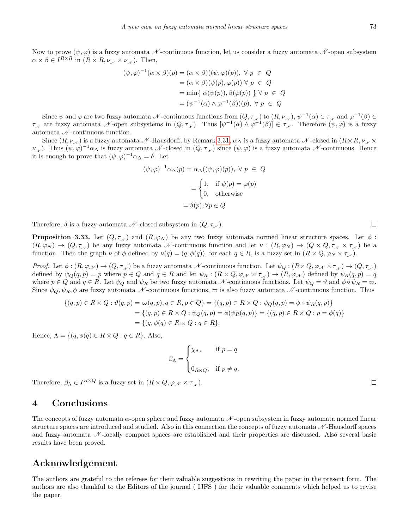Now to prove  $(\psi, \varphi)$  is a fuzzy automata N-continuous function, let us consider a fuzzy automata N-open subsystem  $\alpha \times \beta \in I^{R \times R}$  in  $(R \times R, \nu_{\mathcal{N}} \times \nu_{\mathcal{N}})$ . Then,

$$
(\psi, \varphi)^{-1}(\alpha \times \beta)(p) = (\alpha \times \beta)((\psi, \varphi)(p)), \forall p \in Q
$$
  
=  $(\alpha \times \beta)(\psi(p), \varphi(p)) \forall p \in Q$   
=  $\min{\{\alpha(\psi(p)), \beta(\varphi(p))\}} \forall p \in Q$   
=  $(\psi^{-1}(\alpha) \wedge \varphi^{-1}(\beta))(p), \forall p \in Q$ 

Since  $\psi$  and  $\varphi$  are two fuzzy automata  $\mathcal N$ -continuous functions from  $(Q, \tau_{\mathcal N})$  to  $(R, \nu_{\mathcal N}), \psi^{-1}(\alpha) \in \tau_{\mathcal N}$  and  $\varphi^{-1}(\beta) \in$  $\tau_{\scriptscriptstyle \mathcal{N}}$  are fuzzy automata  $\mathcal{N}$ -open subsystems in  $(Q, \tau_{\scriptscriptstyle \mathcal{N}})$ . Thus  $[\psi^{-1}(\alpha) \wedge \varphi^{-1}(\beta)] \in \tau_{\scriptscriptstyle \mathcal{N}}$ . Therefore  $(\psi, \varphi)$  is a fuzzy automata  $\mathcal N$ -continuous function.

Since  $(R, \nu_{\kappa})$  is a fuzzy automata N -Hausdorff, by Remark [3.31,](#page-7-0)  $\alpha_{\Delta}$  is a fuzzy automata N -closed in  $(R \times R, \nu_{\kappa} \times R)$  $\nu_{\mathscr{N}}$ ). Thus  $(\psi,\varphi)^{-1}\alpha_{\Delta}$  is fuzzy automata  $\mathscr{N}$ -closed in  $(Q,\tau_{\mathscr{N}})$  since  $(\psi,\varphi)$  is a fuzzy automata  $\mathscr{N}$ -continuous. Hence it is enough to prove that  $(\psi, \varphi)^{-1} \alpha_{\Delta} = \delta$ . Let

$$
(\psi, \varphi)^{-1} \alpha_{\Delta}(p) = \alpha_{\Delta}((\psi, \varphi)(p)), \ \forall \ p \ \in \ Q
$$

$$
= \begin{cases} 1, & \text{if } \psi(p) = \varphi(p) \\ 0, & \text{otherwise} \end{cases}
$$

$$
= \delta(p), \forall p \in Q
$$

Therefore,  $\delta$  is a fuzzy automata  $\mathcal N$ -closed subsystem in  $(Q, \tau)$ .

**Proposition 3.33.** Let  $(Q, \tau_{N})$  and  $(R, \varphi_{N})$  be any two fuzzy automata normed linear structure spaces. Let  $\phi$ :  $(R, \varphi_N) \to (Q, \tau_N)$  be any fuzzy automata N-continuous function and let  $\nu : (R, \varphi_N) \to (Q \times Q, \tau_N \times \tau_N)$  be a function. Then the graph  $\nu$  of  $\phi$  defined by  $\nu(q) = (q, \phi(q))$ , for each  $q \in R$ , is a fuzzy set in  $(R \times Q, \varphi_N \times \tau_N)$ .

Proof. Let  $\phi: (R, \varphi_{\mathcal{N}}) \to (Q, \tau_{\mathcal{N}})$  be a fuzzy automata  $\mathcal{N}$ -continuous function. Let  $\psi_Q: (R \times Q, \varphi_{\mathcal{N}} \times \tau_{\mathcal{N}}) \to (Q, \tau_{\mathcal{N}})$ defined by  $\psi_Q(q,p) = p$  where  $p \in Q$  and  $q \in R$  and let  $\psi_R : (R \times Q, \varphi_N \times \tau_{N}) \to (R, \varphi_N)$  defined by  $\psi_R(q,p) = q$ where  $p \in Q$  and  $q \in R$ . Let  $\psi_Q$  and  $\psi_R$  be two fuzzy automata N-continuous functions. Let  $\psi_Q = \vartheta$  and  $\phi \circ \psi_R = \varpi$ . Since  $\psi_Q, \psi_R, \phi$  are fuzzy automata N-continuous functions,  $\varpi$  is also fuzzy automata N-continuous function. Thus

$$
\{(q,p) \in R \times Q : \vartheta(q,p) = \varpi(q,p), q \in R, p \in Q\} = \{(q,p) \in R \times Q : \psi_Q(q,p) = \phi \circ \psi_R(q,p)\}
$$
  
= 
$$
\{(q,p) \in R \times Q : \psi_Q(q,p) = \phi(\psi_R(q,p))\} = \{(q,p) \in R \times Q : p = \phi(q)\}
$$
  
= 
$$
\{(q,\phi(q) \in R \times Q : q \in R\}.
$$

Hence,  $\Lambda = \{ (q, \phi(q) \in R \times Q : q \in R \}$ . Also,

$$
\beta_{\Lambda} = \begin{cases} \chi_{\Lambda}, & \text{if } p = q \\ 0_{R \times Q}, & \text{if } p \neq q. \end{cases}
$$

Therefore,  $\beta_{\Lambda} \in I^{R \times Q}$  is a fuzzy set in  $(R \times Q, \varphi_{\mathscr{N}} \times \tau_{\mathscr{N}})$ .

#### 4 Conclusions

The concepts of fuzzy automata  $\alpha$ -open sphere and fuzzy automata  $\mathcal N$ -open subsystem in fuzzy automata normed linear structure spaces are introduced and studied. Also in this connection the concepts of fuzzy automata  $\mathcal{N}$ -Hausdorff spaces and fuzzy automata  $\mathcal N$ -locally compact spaces are established and their properties are discussed. Also several basic results have been proved.

#### Acknowledgement

The authors are grateful to the referees for their valuable suggestions in rewriting the paper in the present form. The authors are also thankful to the Editors of the journal ( IJFS ) for their valuable comments which helped us to revise the paper.

 $\Box$ 

 $\Box$